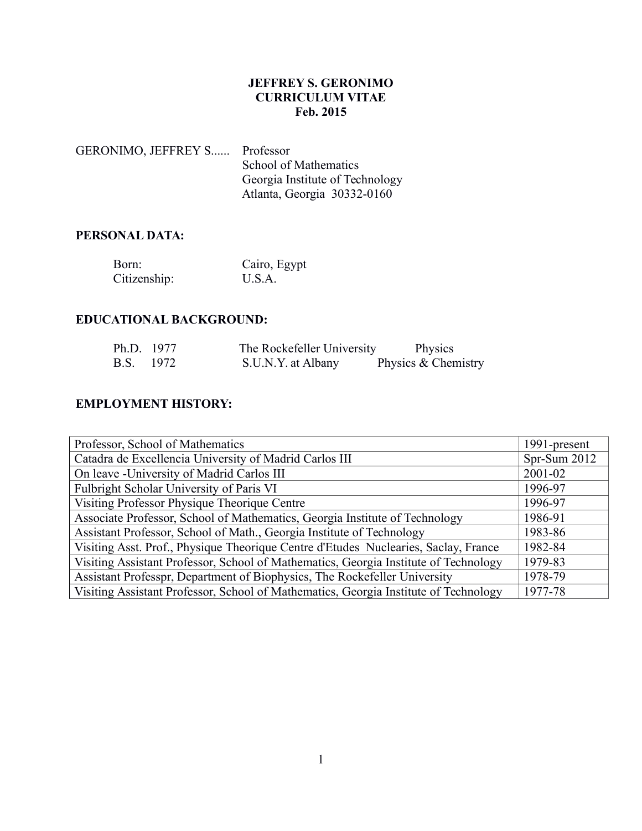### **JEFFREY S. GERONIMO CURRICULUM VITAE Feb. 2015**

GERONIMO, JEFFREY S...... Professor School of Mathematics Georgia Institute of Technology Atlanta, Georgia 30332-0160

## **PERSONAL DATA:**

| Born:        | Cairo, Egypt |
|--------------|--------------|
| Citizenship: | U.S.A.       |

### **EDUCATIONAL BACKGROUND:**

| Ph.D. 1977 | The Rockefeller University | Physics             |
|------------|----------------------------|---------------------|
| B.S. 1972  | S.U.N.Y. at Albany         | Physics & Chemistry |

## **EMPLOYMENT HISTORY:**

| Professor, School of Mathematics                                                     | 1991-present |
|--------------------------------------------------------------------------------------|--------------|
| Catadra de Excellencia University of Madrid Carlos III                               | Spr-Sum 2012 |
| On leave - University of Madrid Carlos III                                           | 2001-02      |
| Fulbright Scholar University of Paris VI                                             | 1996-97      |
| Visiting Professor Physique Theorique Centre                                         | 1996-97      |
| Associate Professor, School of Mathematics, Georgia Institute of Technology          | 1986-91      |
| Assistant Professor, School of Math., Georgia Institute of Technology                | 1983-86      |
| Visiting Asst. Prof., Physique Theorique Centre d'Etudes Nuclearies, Saclay, France  | 1982-84      |
| Visiting Assistant Professor, School of Mathematics, Georgia Institute of Technology | 1979-83      |
| Assistant Professpr, Department of Biophysics, The Rockefeller University            | 1978-79      |
| Visiting Assistant Professor, School of Mathematics, Georgia Institute of Technology | 1977-78      |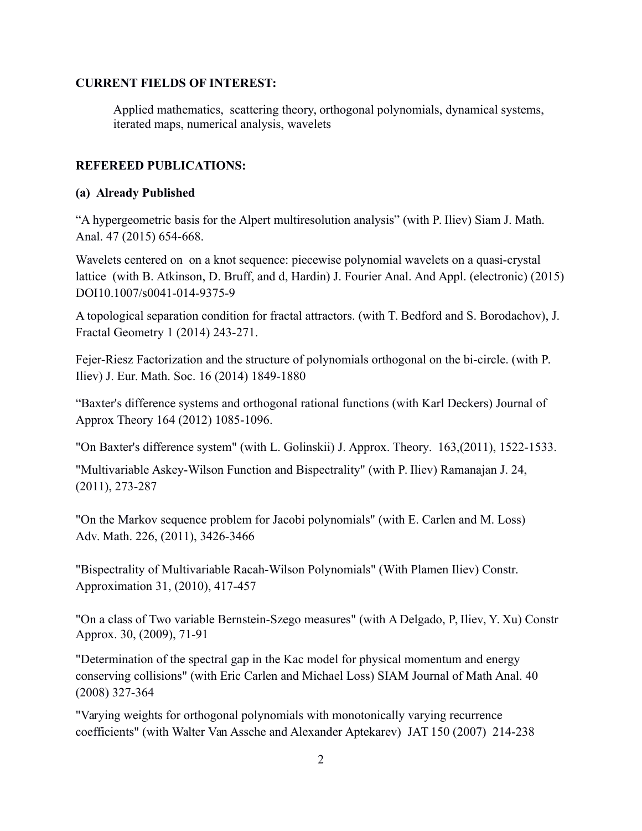### **CURRENT FIELDS OF INTEREST:**

Applied mathematics, scattering theory, orthogonal polynomials, dynamical systems, iterated maps, numerical analysis, wavelets

## **REFEREED PUBLICATIONS:**

### **(a) Already Published**

"A hypergeometric basis for the Alpert multiresolution analysis" (with P. Iliev) Siam J. Math. Anal. 47 (2015) 654-668.

Wavelets centered on on a knot sequence: piecewise polynomial wavelets on a quasi-crystal lattice (with B. Atkinson, D. Bruff, and d, Hardin) J. Fourier Anal. And Appl. (electronic) (2015) DOI10.1007/s0041-014-9375-9

A topological separation condition for fractal attractors. (with T. Bedford and S. Borodachov), J. Fractal Geometry 1 (2014) 243-271.

Fejer-Riesz Factorization and the structure of polynomials orthogonal on the bi-circle. (with P. Iliev) J. Eur. Math. Soc. 16 (2014) 1849-1880

"Baxter's difference systems and orthogonal rational functions (with Karl Deckers) Journal of Approx Theory 164 (2012) 1085-1096.

"On Baxter's difference system" (with L. Golinskii) J. Approx. Theory. 163,(2011), 1522-1533.

"Multivariable Askey-Wilson Function and Bispectrality" (with P. Iliev) Ramanajan J. 24, (2011), 273-287

"On the Markov sequence problem for Jacobi polynomials" (with E. Carlen and M. Loss) Adv. Math. 226, (2011), 3426-3466

"Bispectrality of Multivariable Racah-Wilson Polynomials" (With Plamen Iliev) Constr. Approximation 31, (2010), 417-457

"On a class of Two variable Bernstein-Szego measures" (with A Delgado, P, Iliev, Y. Xu) Constr Approx. 30, (2009), 71-91

"Determination of the spectral gap in the Kac model for physical momentum and energy conserving collisions" (with Eric Carlen and Michael Loss) SIAM Journal of Math Anal. 40 (2008) 327-364

"Varying weights for orthogonal polynomials with monotonically varying recurrence coefficients" (with Walter Van Assche and Alexander Aptekarev) JAT 150 (2007) 214-238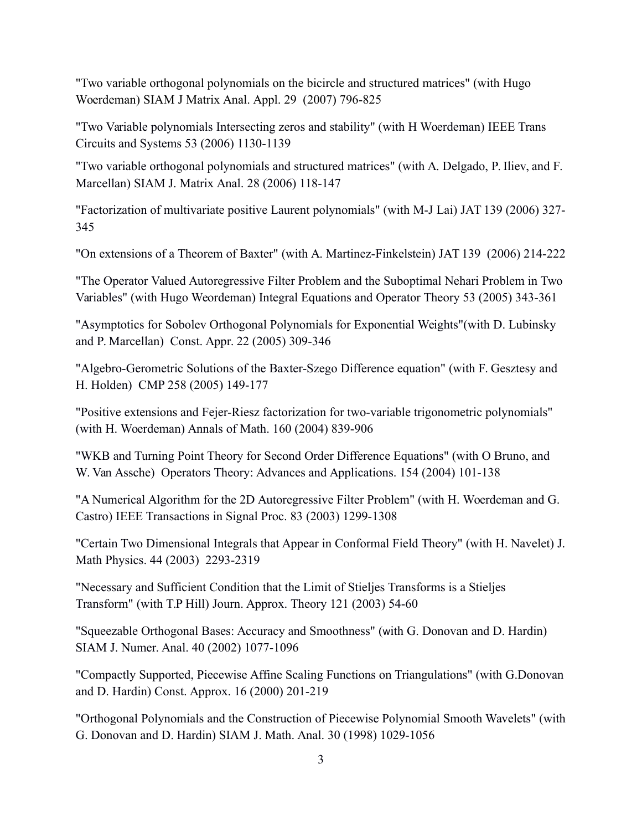"Two variable orthogonal polynomials on the bicircle and structured matrices" (with Hugo Woerdeman) SIAM J Matrix Anal. Appl. 29 (2007) 796-825

"Two Variable polynomials Intersecting zeros and stability" (with H Woerdeman) IEEE Trans Circuits and Systems 53 (2006) 1130-1139

"Two variable orthogonal polynomials and structured matrices" (with A. Delgado, P. Iliev, and F. Marcellan) SIAM J. Matrix Anal. 28 (2006) 118-147

"Factorization of multivariate positive Laurent polynomials" (with M-J Lai) JAT 139 (2006) 327- 345

"On extensions of a Theorem of Baxter" (with A. Martinez-Finkelstein) JAT 139 (2006) 214-222

"The Operator Valued Autoregressive Filter Problem and the Suboptimal Nehari Problem in Two Variables" (with Hugo Weordeman) Integral Equations and Operator Theory 53 (2005) 343-361

"Asymptotics for Sobolev Orthogonal Polynomials for Exponential Weights"(with D. Lubinsky and P. Marcellan) Const. Appr. 22 (2005) 309-346

"Algebro-Gerometric Solutions of the Baxter-Szego Difference equation" (with F. Gesztesy and H. Holden) CMP 258 (2005) 149-177

"Positive extensions and Fejer-Riesz factorization for two-variable trigonometric polynomials" (with H. Woerdeman) Annals of Math. 160 (2004) 839-906

"WKB and Turning Point Theory for Second Order Difference Equations" (with O Bruno, and W. Van Assche) Operators Theory: Advances and Applications. 154 (2004) 101-138

"A Numerical Algorithm for the 2D Autoregressive Filter Problem" (with H. Woerdeman and G. Castro) IEEE Transactions in Signal Proc. 83 (2003) 1299-1308

"Certain Two Dimensional Integrals that Appear in Conformal Field Theory" (with H. Navelet) J. Math Physics. 44 (2003) 2293-2319

"Necessary and Sufficient Condition that the Limit of Stieljes Transforms is a Stieljes Transform" (with T.P Hill) Journ. Approx. Theory 121 (2003) 54-60

"Squeezable Orthogonal Bases: Accuracy and Smoothness" (with G. Donovan and D. Hardin) SIAM J. Numer. Anal. 40 (2002) 1077-1096

"Compactly Supported, Piecewise Affine Scaling Functions on Triangulations" (with G.Donovan and D. Hardin) Const. Approx. 16 (2000) 201-219

"Orthogonal Polynomials and the Construction of Piecewise Polynomial Smooth Wavelets" (with G. Donovan and D. Hardin) SIAM J. Math. Anal. 30 (1998) 1029-1056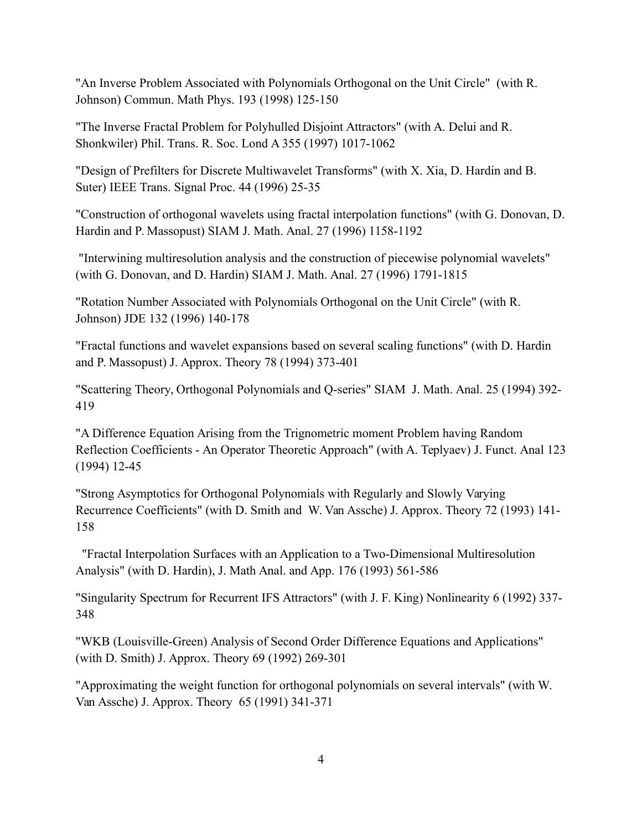"An Inverse Problem Associated with Polynomials Orthogonal on the Unit Circle" (with R. Johnson) Commun. Math Phys. 193 (1998) 125-150

"The Inverse Fractal Problem for Polyhulled Disjoint Attractors" (with A. Delui and R. Shonkwiler) Phil. Trans. R. Soc. Lond A 355 (1997) 1017-1062

"Design of Prefilters for Discrete Multiwavelet Transforms" (with X. Xia, D. Hardin and B. Suter) IEEE Trans. Signal Proc. 44 (1996) 25-35

"Construction of orthogonal wavelets using fractal interpolation functions" (with G. Donovan, D. Hardin and P. Massopust) SIAM J. Math. Anal. 27 (1996) 1158-1192

 "Interwining multiresolution analysis and the construction of piecewise polynomial wavelets" (with G. Donovan, and D. Hardin) SIAM J. Math. Anal. 27 (1996) 1791-1815

"Rotation Number Associated with Polynomials Orthogonal on the Unit Circle" (with R. Johnson) JDE 132 (1996) 140-178

"Fractal functions and wavelet expansions based on several scaling functions" (with D. Hardin and P. Massopust) J. Approx. Theory 78 (1994) 373-401

"Scattering Theory, Orthogonal Polynomials and Q-series" SIAM J. Math. Anal. 25 (1994) 392- 419

"A Difference Equation Arising from the Trignometric moment Problem having Random Reflection Coefficients - An Operator Theoretic Approach" (with A. Teplyaev) J. Funct. Anal 123 (1994) 12-45

"Strong Asymptotics for Orthogonal Polynomials with Regularly and Slowly Varying Recurrence Coefficients" (with D. Smith and W. Van Assche) J. Approx. Theory 72 (1993) 141- 158

 "Fractal Interpolation Surfaces with an Application to a Two-Dimensional Multiresolution Analysis" (with D. Hardin), J. Math Anal. and App. 176 (1993) 561-586

"Singularity Spectrum for Recurrent IFS Attractors" (with J. F. King) Nonlinearity 6 (1992) 337- 348

"WKB (Louisville-Green) Analysis of Second Order Difference Equations and Applications" (with D. Smith) J. Approx. Theory 69 (1992) 269-301

"Approximating the weight function for orthogonal polynomials on several intervals" (with W. Van Assche) J. Approx. Theory 65 (1991) 341-371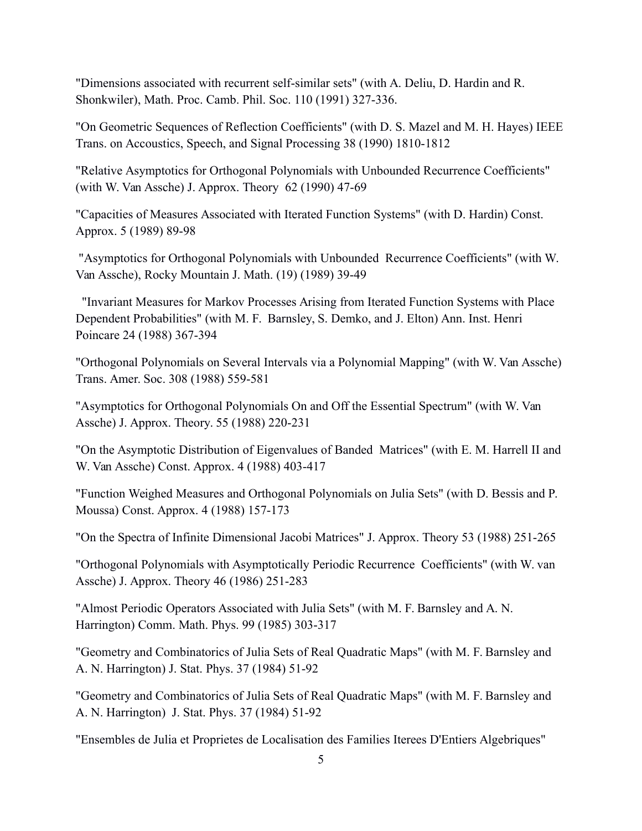"Dimensions associated with recurrent self-similar sets" (with A. Deliu, D. Hardin and R. Shonkwiler), Math. Proc. Camb. Phil. Soc. 110 (1991) 327-336.

"On Geometric Sequences of Reflection Coefficients" (with D. S. Mazel and M. H. Hayes) IEEE Trans. on Accoustics, Speech, and Signal Processing 38 (1990) 1810-1812

"Relative Asymptotics for Orthogonal Polynomials with Unbounded Recurrence Coefficients" (with W. Van Assche) J. Approx. Theory 62 (1990) 47-69

"Capacities of Measures Associated with Iterated Function Systems" (with D. Hardin) Const. Approx. 5 (1989) 89-98

 "Asymptotics for Orthogonal Polynomials with Unbounded Recurrence Coefficients" (with W. Van Assche), Rocky Mountain J. Math. (19) (1989) 39-49

 "Invariant Measures for Markov Processes Arising from Iterated Function Systems with Place Dependent Probabilities" (with M. F. Barnsley, S. Demko, and J. Elton) Ann. Inst. Henri Poincare 24 (1988) 367-394

"Orthogonal Polynomials on Several Intervals via a Polynomial Mapping" (with W. Van Assche) Trans. Amer. Soc. 308 (1988) 559-581

"Asymptotics for Orthogonal Polynomials On and Off the Essential Spectrum" (with W. Van Assche) J. Approx. Theory. 55 (1988) 220-231

"On the Asymptotic Distribution of Eigenvalues of Banded Matrices" (with E. M. Harrell II and W. Van Assche) Const. Approx. 4 (1988) 403-417

"Function Weighed Measures and Orthogonal Polynomials on Julia Sets" (with D. Bessis and P. Moussa) Const. Approx. 4 (1988) 157-173

"On the Spectra of Infinite Dimensional Jacobi Matrices" J. Approx. Theory 53 (1988) 251-265

"Orthogonal Polynomials with Asymptotically Periodic Recurrence Coefficients" (with W. van Assche) J. Approx. Theory 46 (1986) 251-283

"Almost Periodic Operators Associated with Julia Sets" (with M. F. Barnsley and A. N. Harrington) Comm. Math. Phys. 99 (1985) 303-317

"Geometry and Combinatorics of Julia Sets of Real Quadratic Maps" (with M. F. Barnsley and A. N. Harrington) J. Stat. Phys. 37 (1984) 51-92

"Geometry and Combinatorics of Julia Sets of Real Quadratic Maps" (with M. F. Barnsley and A. N. Harrington) J. Stat. Phys. 37 (1984) 51-92

"Ensembles de Julia et Proprietes de Localisation des Families Iterees D'Entiers Algebriques"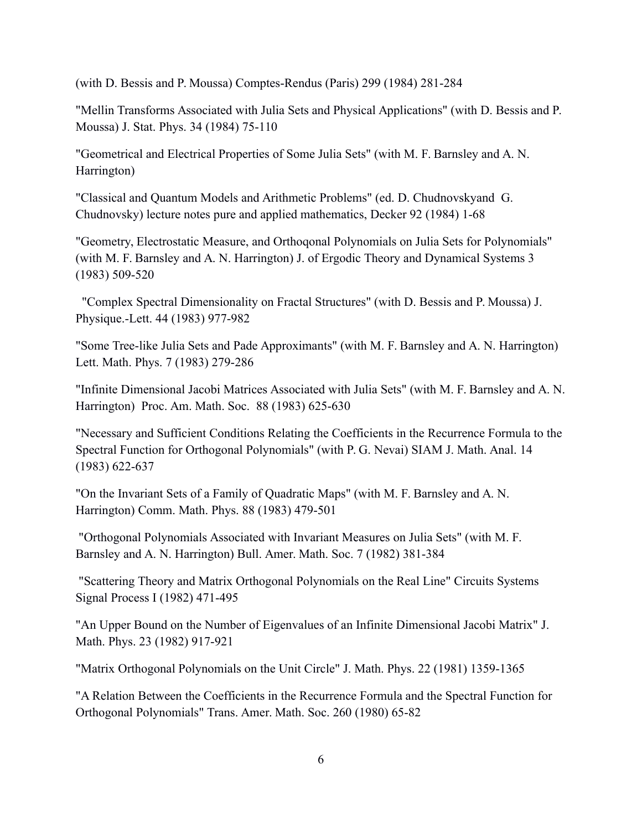(with D. Bessis and P. Moussa) Comptes-Rendus (Paris) 299 (1984) 281-284

"Mellin Transforms Associated with Julia Sets and Physical Applications" (with D. Bessis and P. Moussa) J. Stat. Phys. 34 (1984) 75-110

"Geometrical and Electrical Properties of Some Julia Sets" (with M. F. Barnsley and A. N. Harrington)

"Classical and Quantum Models and Arithmetic Problems" (ed. D. Chudnovskyand G. Chudnovsky) lecture notes pure and applied mathematics, Decker 92 (1984) 1-68

"Geometry, Electrostatic Measure, and Orthoqonal Polynomials on Julia Sets for Polynomials" (with M. F. Barnsley and A. N. Harrington) J. of Ergodic Theory and Dynamical Systems 3 (1983) 509-520

 "Complex Spectral Dimensionality on Fractal Structures" (with D. Bessis and P. Moussa) J. Physique.-Lett. 44 (1983) 977-982

"Some Tree-like Julia Sets and Pade Approximants" (with M. F. Barnsley and A. N. Harrington) Lett. Math. Phys. 7 (1983) 279-286

"Infinite Dimensional Jacobi Matrices Associated with Julia Sets" (with M. F. Barnsley and A. N. Harrington) Proc. Am. Math. Soc. 88 (1983) 625-630

"Necessary and Sufficient Conditions Relating the Coefficients in the Recurrence Formula to the Spectral Function for Orthogonal Polynomials" (with P. G. Nevai) SIAM J. Math. Anal. 14 (1983) 622-637

"On the Invariant Sets of a Family of Quadratic Maps" (with M. F. Barnsley and A. N. Harrington) Comm. Math. Phys. 88 (1983) 479-501

 "Orthogonal Polynomials Associated with Invariant Measures on Julia Sets" (with M. F. Barnsley and A. N. Harrington) Bull. Amer. Math. Soc. 7 (1982) 381-384

 "Scattering Theory and Matrix Orthogonal Polynomials on the Real Line" Circuits Systems Signal Process I (1982) 471-495

"An Upper Bound on the Number of Eigenvalues of an Infinite Dimensional Jacobi Matrix" J. Math. Phys. 23 (1982) 917-921

"Matrix Orthogonal Polynomials on the Unit Circle" J. Math. Phys. 22 (1981) 1359-1365

"A Relation Between the Coefficients in the Recurrence Formula and the Spectral Function for Orthogonal Polynomials" Trans. Amer. Math. Soc. 260 (1980) 65-82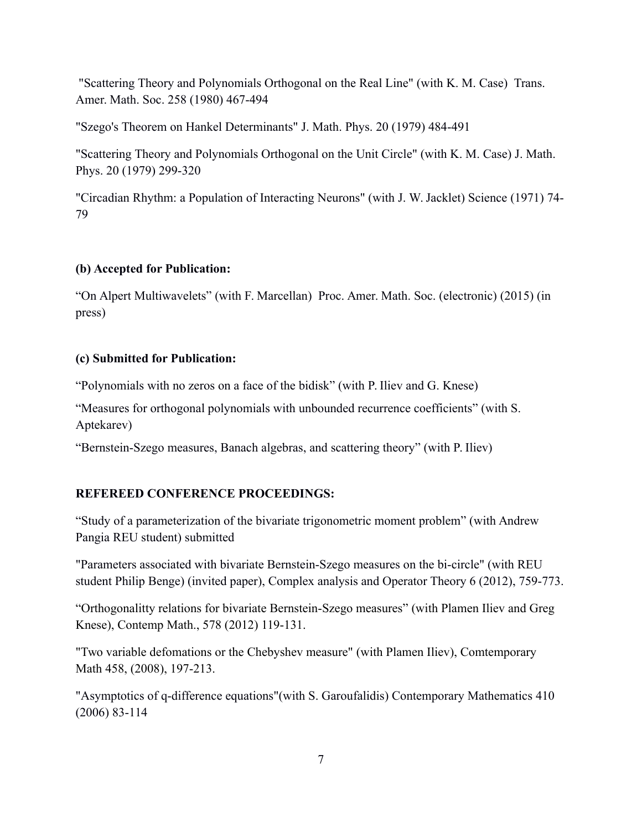"Scattering Theory and Polynomials Orthogonal on the Real Line" (with K. M. Case) Trans. Amer. Math. Soc. 258 (1980) 467-494

"Szego's Theorem on Hankel Determinants" J. Math. Phys. 20 (1979) 484-491

"Scattering Theory and Polynomials Orthogonal on the Unit Circle" (with K. M. Case) J. Math. Phys. 20 (1979) 299-320

"Circadian Rhythm: a Population of Interacting Neurons" (with J. W. Jacklet) Science (1971) 74- 79

# **(b) Accepted for Publication:**

"On Alpert Multiwavelets" (with F. Marcellan) Proc. Amer. Math. Soc. (electronic) (2015) (in press)

# **(c) Submitted for Publication:**

"Polynomials with no zeros on a face of the bidisk" (with P. Iliev and G. Knese)

"Measures for orthogonal polynomials with unbounded recurrence coefficients" (with S. Aptekarev)

"Bernstein-Szego measures, Banach algebras, and scattering theory" (with P. Iliev)

# **REFEREED CONFERENCE PROCEEDINGS:**

"Study of a parameterization of the bivariate trigonometric moment problem" (with Andrew Pangia REU student) submitted

"Parameters associated with bivariate Bernstein-Szego measures on the bi-circle" (with REU student Philip Benge) (invited paper), Complex analysis and Operator Theory 6 (2012), 759-773.

"Orthogonalitty relations for bivariate Bernstein-Szego measures" (with Plamen Iliev and Greg Knese), Contemp Math., 578 (2012) 119-131.

"Two variable defomations or the Chebyshev measure" (with Plamen Iliev), Comtemporary Math 458, (2008), 197-213.

"Asymptotics of q-difference equations"(with S. Garoufalidis) Contemporary Mathematics 410 (2006) 83-114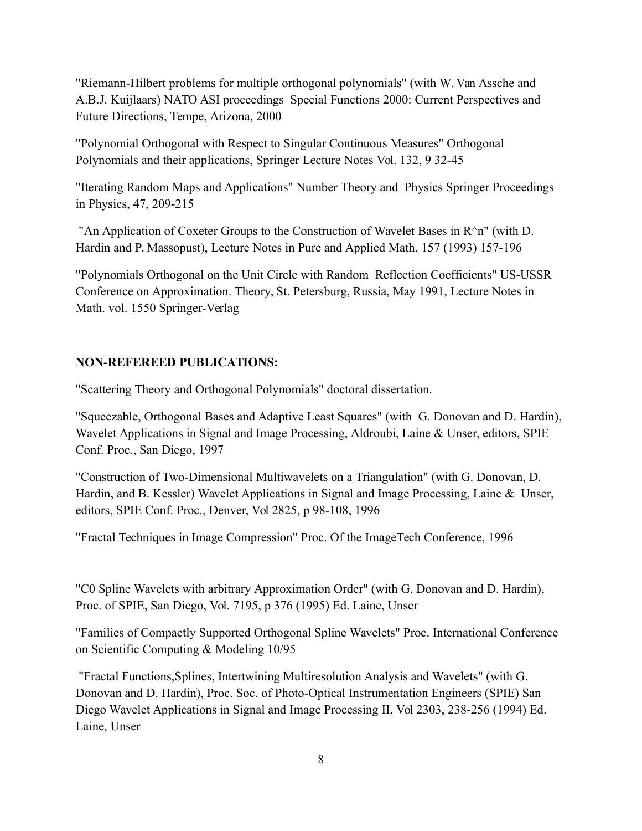"Riemann-Hilbert problems for multiple orthogonal polynomials" (with W. Van Assche and A.B.J. Kuijlaars) NATO ASI proceedings Special Functions 2000: Current Perspectives and Future Directions, Tempe, Arizona, 2000

"Polynomial Orthogonal with Respect to Singular Continuous Measures" Orthogonal Polynomials and their applications, Springer Lecture Notes Vol. 132, 9 32-45

"Iterating Random Maps and Applications" Number Theory and Physics Springer Proceedings in Physics, 47, 209-215

 "An Application of Coxeter Groups to the Construction of Wavelet Bases in R^n" (with D. Hardin and P. Massopust), Lecture Notes in Pure and Applied Math. 157 (1993) 157-196

"Polynomials Orthogonal on the Unit Circle with Random Reflection Coefficients" US-USSR Conference on Approximation. Theory, St. Petersburg, Russia, May 1991, Lecture Notes in Math. vol. 1550 Springer-Verlag

### **NON-REFEREED PUBLICATIONS:**

"Scattering Theory and Orthogonal Polynomials" doctoral dissertation.

"Squeezable, Orthogonal Bases and Adaptive Least Squares" (with G. Donovan and D. Hardin), Wavelet Applications in Signal and Image Processing, Aldroubi, Laine & Unser, editors, SPIE Conf. Proc., San Diego, 1997

"Construction of Two-Dimensional Multiwavelets on a Triangulation" (with G. Donovan, D. Hardin, and B. Kessler) Wavelet Applications in Signal and Image Processing, Laine & Unser, editors, SPIE Conf. Proc., Denver, Vol 2825, p 98-108, 1996

"Fractal Techniques in Image Compression" Proc. Of the ImageTech Conference, 1996

"C0 Spline Wavelets with arbitrary Approximation Order" (with G. Donovan and D. Hardin), Proc. of SPIE, San Diego, Vol. 7195, p 376 (1995) Ed. Laine, Unser

"Families of Compactly Supported Orthogonal Spline Wavelets" Proc. International Conference on Scientific Computing & Modeling 10/95

 "Fractal Functions,Splines, Intertwining Multiresolution Analysis and Wavelets" (with G. Donovan and D. Hardin), Proc. Soc. of Photo-Optical Instrumentation Engineers (SPIE) San Diego Wavelet Applications in Signal and Image Processing II, Vol 2303, 238-256 (1994) Ed. Laine, Unser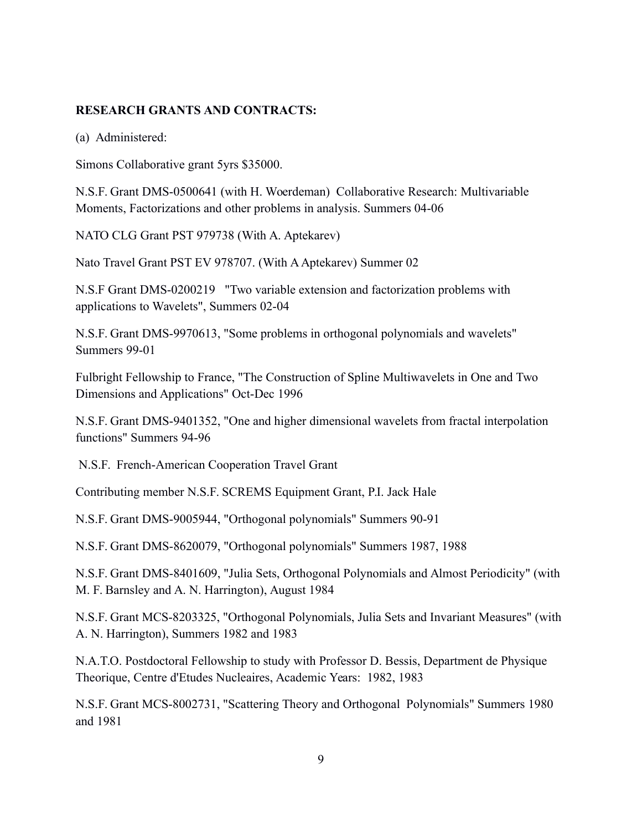### **RESEARCH GRANTS AND CONTRACTS:**

(a) Administered:

Simons Collaborative grant 5yrs \$35000.

N.S.F. Grant DMS-0500641 (with H. Woerdeman) Collaborative Research: Multivariable Moments, Factorizations and other problems in analysis. Summers 04-06

NATO CLG Grant PST 979738 (With A. Aptekarev)

Nato Travel Grant PST EV 978707. (With A Aptekarev) Summer 02

N.S.F Grant DMS-0200219 "Two variable extension and factorization problems with applications to Wavelets", Summers 02-04

N.S.F. Grant DMS-9970613, "Some problems in orthogonal polynomials and wavelets" Summers 99-01

Fulbright Fellowship to France, "The Construction of Spline Multiwavelets in One and Two Dimensions and Applications" Oct-Dec 1996

N.S.F. Grant DMS-9401352, "One and higher dimensional wavelets from fractal interpolation functions" Summers 94-96

N.S.F. French-American Cooperation Travel Grant

Contributing member N.S.F. SCREMS Equipment Grant, P.I. Jack Hale

N.S.F. Grant DMS-9005944, "Orthogonal polynomials" Summers 90-91

N.S.F. Grant DMS-8620079, "Orthogonal polynomials" Summers 1987, 1988

N.S.F. Grant DMS-8401609, "Julia Sets, Orthogonal Polynomials and Almost Periodicity" (with M. F. Barnsley and A. N. Harrington), August 1984

N.S.F. Grant MCS-8203325, "Orthogonal Polynomials, Julia Sets and Invariant Measures" (with A. N. Harrington), Summers 1982 and 1983

N.A.T.O. Postdoctoral Fellowship to study with Professor D. Bessis, Department de Physique Theorique, Centre d'Etudes Nucleaires, Academic Years: 1982, 1983

N.S.F. Grant MCS-8002731, "Scattering Theory and Orthogonal Polynomials" Summers 1980 and 1981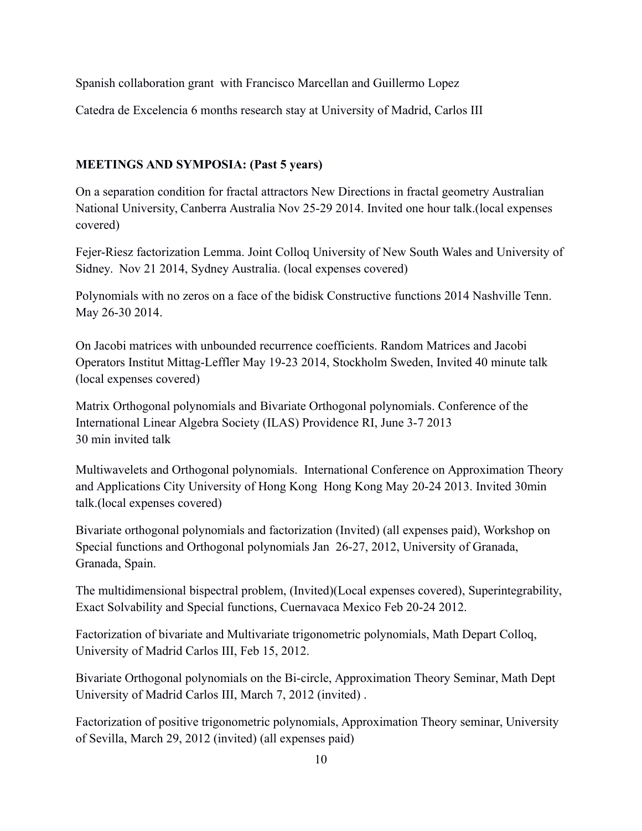Spanish collaboration grant with Francisco Marcellan and Guillermo Lopez

Catedra de Excelencia 6 months research stay at University of Madrid, Carlos III

# **MEETINGS AND SYMPOSIA: (Past 5 years)**

On a separation condition for fractal attractors New Directions in fractal geometry Australian National University, Canberra Australia Nov 25-29 2014. Invited one hour talk.(local expenses covered)

Fejer-Riesz factorization Lemma. Joint Colloq University of New South Wales and University of Sidney. Nov 21 2014, Sydney Australia. (local expenses covered)

Polynomials with no zeros on a face of the bidisk Constructive functions 2014 Nashville Tenn. May 26-30 2014.

On Jacobi matrices with unbounded recurrence coefficients. Random Matrices and Jacobi Operators Institut Mittag-Leffler May 19-23 2014, Stockholm Sweden, Invited 40 minute talk (local expenses covered)

Matrix Orthogonal polynomials and Bivariate Orthogonal polynomials. Conference of the International Linear Algebra Society (ILAS) Providence RI, June 3-7 2013 30 min invited talk

Multiwavelets and Orthogonal polynomials. International Conference on Approximation Theory and Applications City University of Hong Kong Hong Kong May 20-24 2013. Invited 30min talk.(local expenses covered)

Bivariate orthogonal polynomials and factorization (Invited) (all expenses paid), Workshop on Special functions and Orthogonal polynomials Jan 26-27, 2012, University of Granada, Granada, Spain.

The multidimensional bispectral problem, (Invited)(Local expenses covered), Superintegrability, Exact Solvability and Special functions, Cuernavaca Mexico Feb 20-24 2012.

Factorization of bivariate and Multivariate trigonometric polynomials, Math Depart Colloq, University of Madrid Carlos III, Feb 15, 2012.

Bivariate Orthogonal polynomials on the Bi-circle, Approximation Theory Seminar, Math Dept University of Madrid Carlos III, March 7, 2012 (invited) .

Factorization of positive trigonometric polynomials, Approximation Theory seminar, University of Sevilla, March 29, 2012 (invited) (all expenses paid)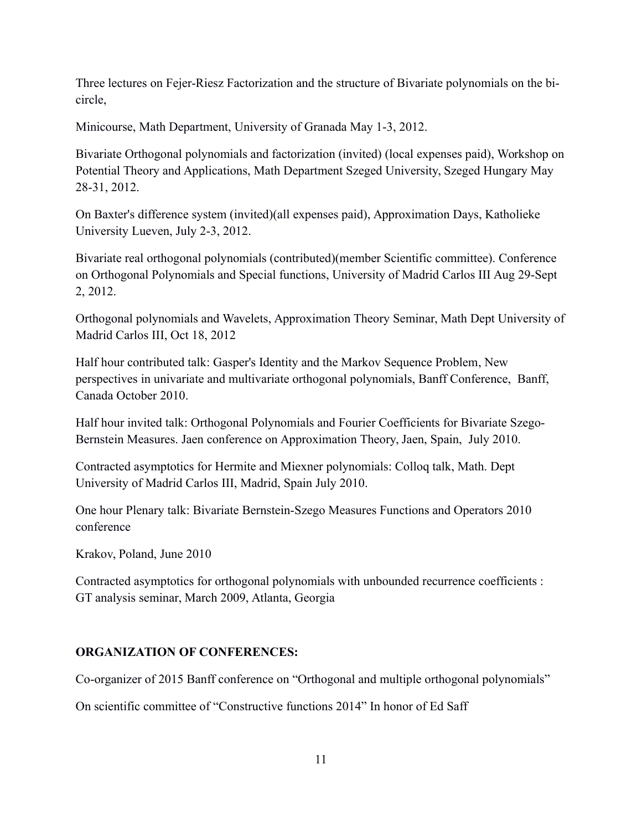Three lectures on Fejer-Riesz Factorization and the structure of Bivariate polynomials on the bicircle,

Minicourse, Math Department, University of Granada May 1-3, 2012.

Bivariate Orthogonal polynomials and factorization (invited) (local expenses paid), Workshop on Potential Theory and Applications, Math Department Szeged University, Szeged Hungary May 28-31, 2012.

On Baxter's difference system (invited)(all expenses paid), Approximation Days, Katholieke University Lueven, July 2-3, 2012.

Bivariate real orthogonal polynomials (contributed)(member Scientific committee). Conference on Orthogonal Polynomials and Special functions, University of Madrid Carlos III Aug 29-Sept 2, 2012.

Orthogonal polynomials and Wavelets, Approximation Theory Seminar, Math Dept University of Madrid Carlos III, Oct 18, 2012

Half hour contributed talk: Gasper's Identity and the Markov Sequence Problem, New perspectives in univariate and multivariate orthogonal polynomials, Banff Conference, Banff, Canada October 2010.

Half hour invited talk: Orthogonal Polynomials and Fourier Coefficients for Bivariate Szego-Bernstein Measures. Jaen conference on Approximation Theory, Jaen, Spain, July 2010.

Contracted asymptotics for Hermite and Miexner polynomials: Colloq talk, Math. Dept University of Madrid Carlos III, Madrid, Spain July 2010.

One hour Plenary talk: Bivariate Bernstein-Szego Measures Functions and Operators 2010 conference

Krakov, Poland, June 2010

Contracted asymptotics for orthogonal polynomials with unbounded recurrence coefficients : GT analysis seminar, March 2009, Atlanta, Georgia

### **ORGANIZATION OF CONFERENCES:**

Co-organizer of 2015 Banff conference on "Orthogonal and multiple orthogonal polynomials"

On scientific committee of "Constructive functions 2014" In honor of Ed Saff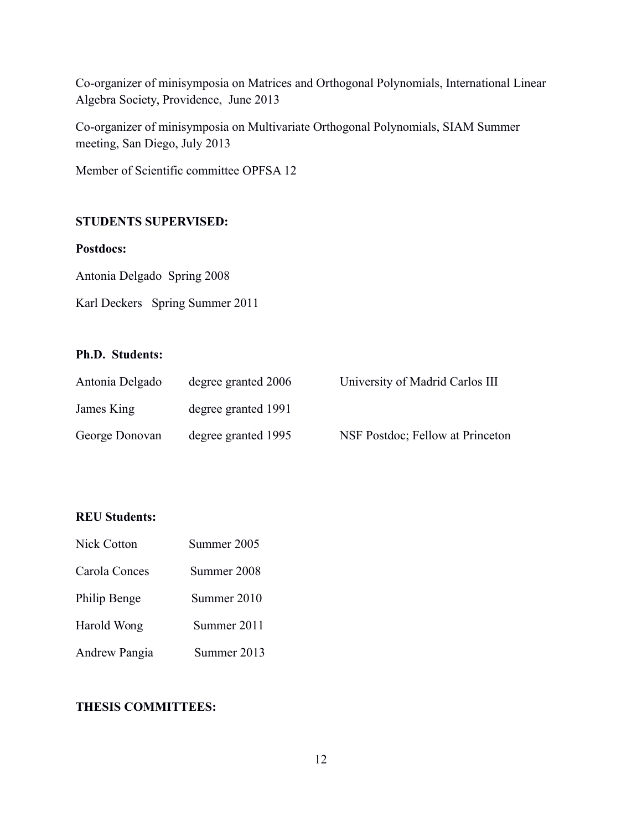Co-organizer of minisymposia on Matrices and Orthogonal Polynomials, International Linear Algebra Society, Providence, June 2013

Co-organizer of minisymposia on Multivariate Orthogonal Polynomials, SIAM Summer meeting, San Diego, July 2013

Member of Scientific committee OPFSA 12

## **STUDENTS SUPERVISED:**

### **Postdocs:**

Antonia Delgado Spring 2008

Karl Deckers Spring Summer 2011

## **Ph.D. Students:**

| Antonia Delgado | degree granted 2006 | University of Madrid Carlos III  |
|-----------------|---------------------|----------------------------------|
| James King      | degree granted 1991 |                                  |
| George Donovan  | degree granted 1995 | NSF Postdoc; Fellow at Princeton |

### **REU Students:**

| <b>Nick Cotton</b> | Summer 2005 |
|--------------------|-------------|
| Carola Conces      | Summer 2008 |
| Philip Benge       | Summer 2010 |
| Harold Wong        | Summer 2011 |
| Andrew Pangia      | Summer 2013 |

## **THESIS COMMITTEES:**